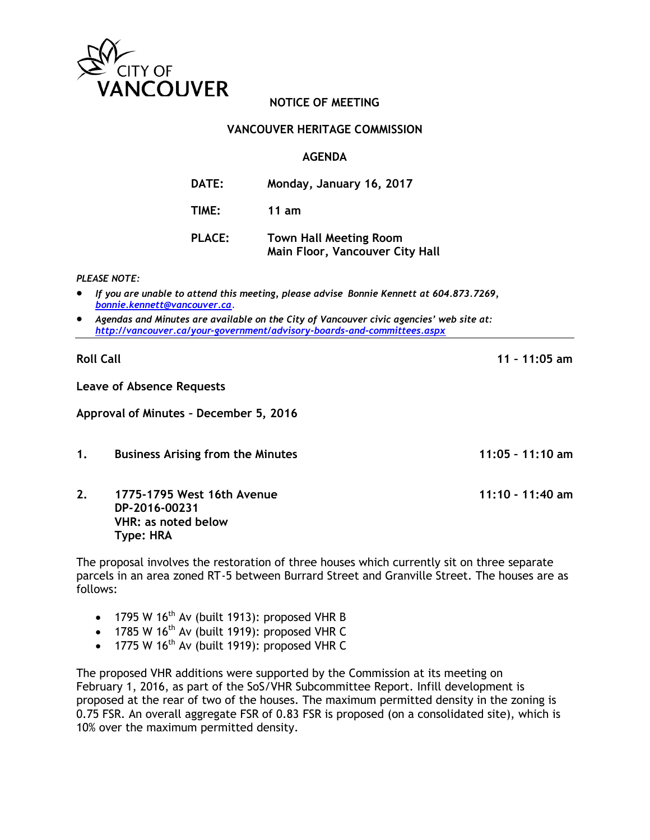

## **NOTICE OF MEETING**

### **VANCOUVER HERITAGE COMMISSION**

#### **AGENDA**

| <b>DATE:</b>  | Monday, January 16, 2017                                                |
|---------------|-------------------------------------------------------------------------|
| TIME:         | 11 $am$                                                                 |
| <b>PLACE:</b> | <b>Town Hall Meeting Room</b><br><b>Main Floor, Vancouver City Hall</b> |

*PLEASE NOTE:*

- *If you are unable to attend this meeting, please advise Bonnie Kennett at 604.873.7269, [bonnie.kennett@vancouve](mailto:bonnie.kennett@vancouv)r.ca*.
- *Agendas and Minutes are available on the City of Vancouver civic agencies' web site at: <http://vancouver.ca/your-government/advisory-boards-and-committees.aspx>*

**Roll Call 11 – 11:05 am**

**Leave of Absence Requests**

**Approval of Minutes – December 5, 2016**

- **1. Business Arising from the Minutes 11:05 – 11:10 am**
- **2. 1775-1795 West 16th Avenue 11:10 - 11:40 am DP-2016-00231 VHR: as noted below Type: HRA**

The proposal involves the restoration of three houses which currently sit on three separate parcels in an area zoned RT-5 between Burrard Street and Granville Street. The houses are as follows:

- 1795 W  $16<sup>th</sup>$  Av (built 1913): proposed VHR B
- 1785 W 16<sup>th</sup> Av (built 1919): proposed VHR C
- 1775 W  $16^{th}$  Av (built 1919): proposed VHR C

The proposed VHR additions were supported by the Commission at its meeting on February 1, 2016, as part of the SoS/VHR Subcommittee Report. Infill development is proposed at the rear of two of the houses. The maximum permitted density in the zoning is 0.75 FSR. An overall aggregate FSR of 0.83 FSR is proposed (on a consolidated site), which is 10% over the maximum permitted density.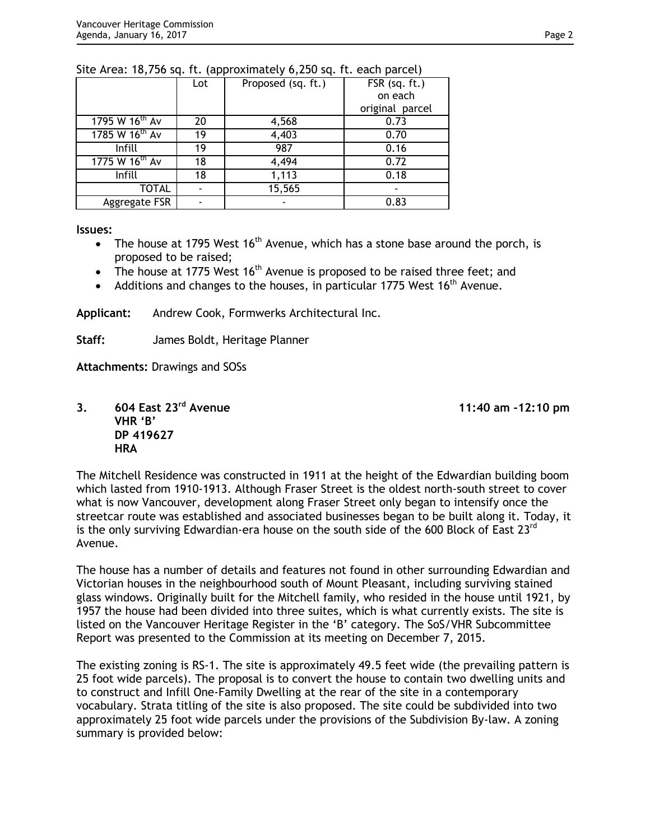|                            | Lot | Proposed (sq. ft.) | FSR (sq. ft.)   |
|----------------------------|-----|--------------------|-----------------|
|                            |     |                    | on each         |
|                            |     |                    | original parcel |
| 1795 W 16th Av             | 20  | 4,568              | 0.73            |
| 1785 W 16 <sup>th</sup> Av | 19  | 4,403              | 0.70            |
| Infill                     | 19  | 987                | 0.16            |
| 1775 W 16 <sup>th</sup> Av | 18  | 4,494              | 0.72            |
| Infill                     | 18  | 1,113              | 0.18            |
| <b>TOTAL</b>               |     | 15,565             |                 |
| Aggregate FSR              |     |                    | 0.83            |

### Site Area: 18,756 sq. ft. (approximately 6,250 sq. ft. each parcel)

**Issues:**

- The house at 1795 West  $16<sup>th</sup>$  Avenue, which has a stone base around the porch, is proposed to be raised;
- The house at 1775 West  $16<sup>th</sup>$  Avenue is proposed to be raised three feet; and
- Additions and changes to the houses, in particular 1775 West 16<sup>th</sup> Avenue.

**Applicant:** Andrew Cook, Formwerks Architectural Inc.

**Staff:** James Boldt, Heritage Planner

**Attachments:** Drawings and SOSs

**3. 604 East 23rd Avenue 11:40 am -12:10 pm VHR 'B' DP 419627 HRA**

The Mitchell Residence was constructed in 1911 at the height of the Edwardian building boom which lasted from 1910-1913. Although Fraser Street is the oldest north-south street to cover what is now Vancouver, development along Fraser Street only began to intensify once the streetcar route was established and associated businesses began to be built along it. Today, it is the only surviving Edwardian-era house on the south side of the 600 Block of East  $23^{\text{rd}}$ Avenue.

The house has a number of details and features not found in other surrounding Edwardian and Victorian houses in the neighbourhood south of Mount Pleasant, including surviving stained glass windows. Originally built for the Mitchell family, who resided in the house until 1921, by 1957 the house had been divided into three suites, which is what currently exists. The site is listed on the Vancouver Heritage Register in the 'B' category. The SoS/VHR Subcommittee Report was presented to the Commission at its meeting on December 7, 2015.

The existing zoning is RS-1. The site is approximately 49.5 feet wide (the prevailing pattern is 25 foot wide parcels). The proposal is to convert the house to contain two dwelling units and to construct and Infill One-Family Dwelling at the rear of the site in a contemporary vocabulary. Strata titling of the site is also proposed. The site could be subdivided into two approximately 25 foot wide parcels under the provisions of the Subdivision By-law. A zoning summary is provided below: